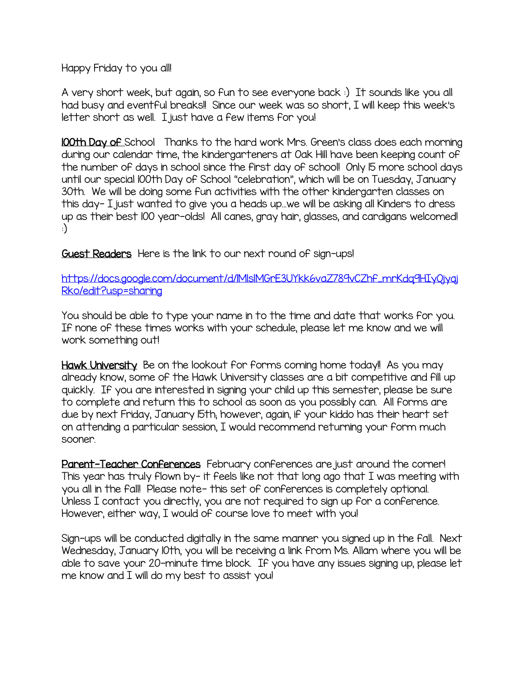Happy Friday to you all!

A very short week, but again, so fun to see everyone back :) It sounds like you all had busy and eventful breaks!! Since our week was so short, I will keep this week's letter short as well. I just have a few items for you!

100th Day of School Thanks to the hard work Mrs. Green's class does each morning during our calendar time, the kindergarteners at Oak Hill have been keeping count of the number of days in school since the first day of school! Only 15 more school days until our special 100th Day of School "celebration", which will be on Tuesday, January 30th. We will be doing some fun activities with the other kindergarten classes on this day- I just wanted to give you a heads up…we will be asking all Kinders to dress up as their best 100 year-olds! All canes, gray hair, glasses, and cardigans welcomed! :)

Guest Readers Here is the link to our next round of sign-ups!

[https://docs.google.com/document/d/1MlslMGrE3UYkk6vaZ789vCZhf\\_mrKdq9HIyOjyaj](https://docs.google.com/document/d/1MlslMGrE3UYkk6vaZ789vCZhf_mrKdq9HIyOjyajRko/edit?usp=sharing) [Rko/edit?usp=sharing](https://docs.google.com/document/d/1MlslMGrE3UYkk6vaZ789vCZhf_mrKdq9HIyOjyajRko/edit?usp=sharing)

You should be able to type your name in to the time and date that works for you. If none of these times works with your schedule, please let me know and we will work something out!

Hawk University Be on the lookout for forms coming home today! As you may already know, some of the Hawk University classes are a bit competitive and fill up quickly. If you are interested in signing your child up this semester, please be sure to complete and return this to school as soon as you possibly can. All forms are due by next Friday, January 15th; however, again, if your kiddo has their heart set on attending a particular session, I would recommend returning your form much sooner.

Parent-Teacher Conferences February conferences are just around the corner! This year has truly flown by- it feels like not that long ago that I was meeting with you all in the fall! Please note- this set of conferences is completely optional. Unless I contact you directly, you are not required to sign up for a conference. However, either way, I would of course love to meet with you!

Sign-ups will be conducted digitally in the same manner you signed up in the fall. Next Wednesday, January 10th, you will be receiving a link from Ms. Allam where you will be able to save your 20-minute time block. If you have any issues signing up, please let me know and I will do my best to assist you!